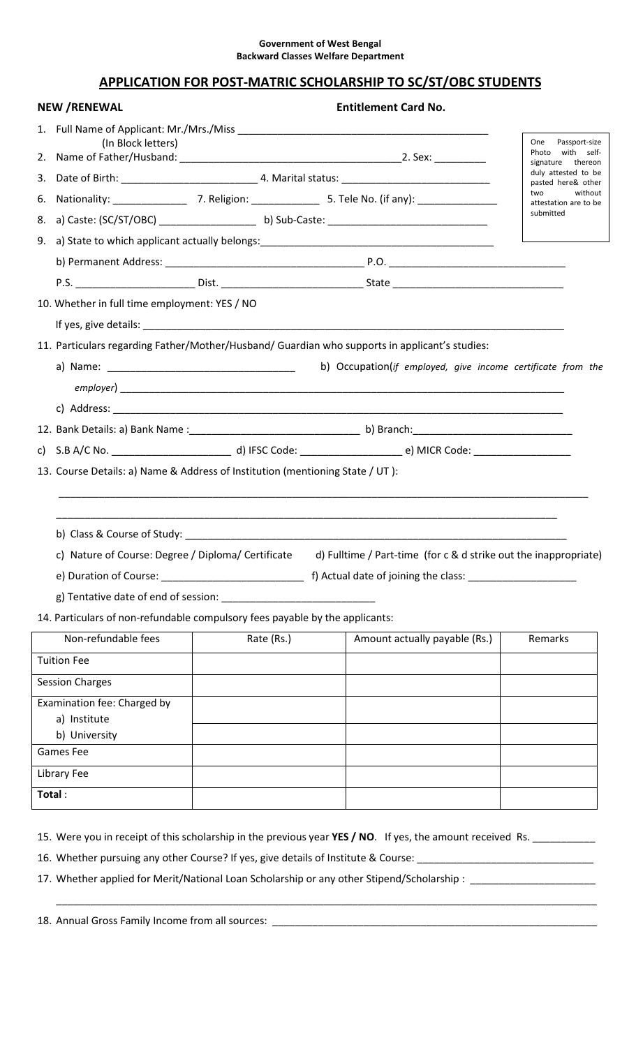## Government of West Bengal Backward Classes Welfare Department

## APPLICATION FOR POST-MATRIC SCHOLARSHIP TO SC/ST/OBC STUDENTS

|    | <b>NEW /RENEWAL</b>                                                           |  |            | <b>Entitlement Card No.</b>                                                                                    |                                                               |
|----|-------------------------------------------------------------------------------|--|------------|----------------------------------------------------------------------------------------------------------------|---------------------------------------------------------------|
|    |                                                                               |  |            |                                                                                                                |                                                               |
| 2. | (In Block letters)                                                            |  |            |                                                                                                                | One Passport-size<br>Photo with<br>self-<br>signature thereon |
|    |                                                                               |  |            |                                                                                                                | duly attested to be<br>pasted here& other                     |
| 6. |                                                                               |  |            | Nationality: ________________________7. Religion: _______________________5. Tele No. (if any): _______________ | without<br>two<br>attestation are to be                       |
| 8. |                                                                               |  |            |                                                                                                                | submitted                                                     |
| 9. |                                                                               |  |            |                                                                                                                |                                                               |
|    |                                                                               |  |            |                                                                                                                |                                                               |
|    |                                                                               |  |            |                                                                                                                |                                                               |
|    | 10. Whether in full time employment: YES / NO                                 |  |            |                                                                                                                |                                                               |
|    |                                                                               |  |            |                                                                                                                |                                                               |
|    |                                                                               |  |            | 11. Particulars regarding Father/Mother/Husband/ Guardian who supports in applicant's studies:                 |                                                               |
|    |                                                                               |  |            | b) Occupation(if employed, give income certificate from the                                                    |                                                               |
|    |                                                                               |  |            |                                                                                                                |                                                               |
|    |                                                                               |  |            |                                                                                                                |                                                               |
|    |                                                                               |  |            |                                                                                                                |                                                               |
|    |                                                                               |  |            |                                                                                                                |                                                               |
|    |                                                                               |  |            |                                                                                                                |                                                               |
|    | 13. Course Details: a) Name & Address of Institution (mentioning State / UT): |  |            |                                                                                                                |                                                               |
|    |                                                                               |  |            |                                                                                                                |                                                               |
|    | c) Nature of Course: Degree / Diploma/ Certificate                            |  |            | d) Fulltime / Part-time (for c & d strike out the inappropriate)                                               |                                                               |
|    |                                                                               |  |            |                                                                                                                |                                                               |
|    |                                                                               |  |            |                                                                                                                |                                                               |
|    | 14. Particulars of non-refundable compulsory fees payable by the applicants:  |  |            |                                                                                                                |                                                               |
|    | Non-refundable fees                                                           |  | Rate (Rs.) | Amount actually payable (Rs.)                                                                                  | Remarks                                                       |
|    | <b>Tuition Fee</b>                                                            |  |            |                                                                                                                |                                                               |
|    | <b>Session Charges</b>                                                        |  |            |                                                                                                                |                                                               |
|    | Examination fee: Charged by<br>a) Institute<br>b) University                  |  |            |                                                                                                                |                                                               |
|    | <b>Games Fee</b>                                                              |  |            |                                                                                                                |                                                               |
|    | <b>Library Fee</b>                                                            |  |            |                                                                                                                |                                                               |

16. Whether pursuing any other Course? If yes, give details of Institute & Course: \_\_\_\_\_\_\_\_\_\_\_\_\_\_\_\_\_\_\_\_\_\_\_\_\_\_\_\_\_

17. Whether applied for Merit/National Loan Scholarship or any other Stipend/Scholarship : \_\_\_\_\_\_\_\_\_\_\_\_\_\_\_\_\_\_\_

\_\_\_\_\_\_\_\_\_\_\_\_\_\_\_\_\_\_\_\_\_\_\_\_\_\_\_\_\_\_\_\_\_\_\_\_\_\_\_\_\_\_\_\_\_\_\_\_\_\_\_\_\_\_\_\_\_\_\_\_\_\_\_\_\_\_\_\_\_\_\_\_\_\_\_\_\_\_\_\_\_\_\_\_\_\_\_\_\_\_\_\_\_\_\_

18. Annual Gross Family Income from all sources: \_\_\_\_\_